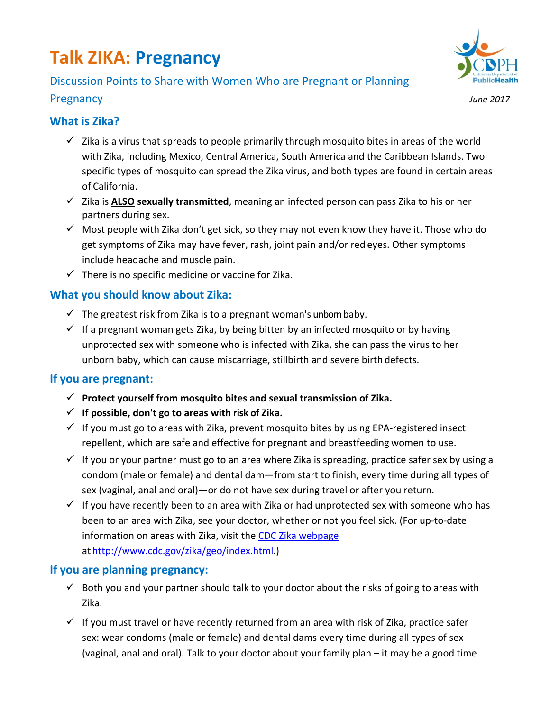# **Talk ZIKA: Pregnancy**

## Discussion Points to Share with Women Who are Pregnant or Planning Pregnancy *June 2017*



#### **What is Zika?**

- $\checkmark$  Zika is a virus that spreads to people primarily through mosquito bites in areas of the world with Zika, including Mexico, Central America, South America and the Caribbean Islands. Two specific types of mosquito can spread the Zika virus, and both types are found in certain areas of California.
- Zika is **ALSO sexually transmitted**, meaning an infected person can pass Zika to his or her partners during sex.
- $\checkmark$  Most people with Zika don't get sick, so they may not even know they have it. Those who do get symptoms of Zika may have fever, rash, joint pain and/or red eyes. Other symptoms include headache and muscle pain.
- $\checkmark$  There is no specific medicine or vaccine for Zika.

### **What you should know about Zika:**

- $\checkmark$  The greatest risk from Zika is to a pregnant woman's unborn baby.
- $\checkmark$  If a pregnant woman gets Zika, by being bitten by an infected mosquito or by having unprotected sex with someone who is infected with Zika, she can pass the virus to her unborn baby, which can cause miscarriage, stillbirth and severe birth defects.

#### **If you are pregnant:**

- **Protect yourself from mosquito bites and sexual transmission of Zika.**
- **If possible, don't go to areas with risk of Zika.**
- $\checkmark$  If you must go to areas with Zika, prevent mosquito bites by using EPA-registered insect repellent, which are safe and effective for pregnant and breastfeeding women to use.
- $\checkmark$  If you or your partner must go to an area where Zika is spreading, practice safer sex by using a condom (male or female) and dental dam—from start to finish, every time during all types of sex (vaginal, anal and oral)—or do not have sex during travel or after you return.
- $\checkmark$  If you have recently been to an area with Zika or had unprotected sex with someone who has been to an area with Zika, see your doctor, whether or not you feel sick. (For up-to-date information on areas with Zika, visit the CDC Zika [webpage](http://www.cdc.gov/zika/geo/index.html) athttp://www.cdc.gov/zika/geo/index.html.)

#### **If you are planning pregnancy:**

- $\checkmark$  Both you and your partner should talk to your doctor about the risks of going to areas with Zika.
- $\checkmark$  If you must travel or have recently returned from an area with risk of Zika, practice safer sex: wear condoms (male or female) and dental dams every time during all types of sex (vaginal, anal and oral). Talk to your doctor about your family plan – it may be a good time